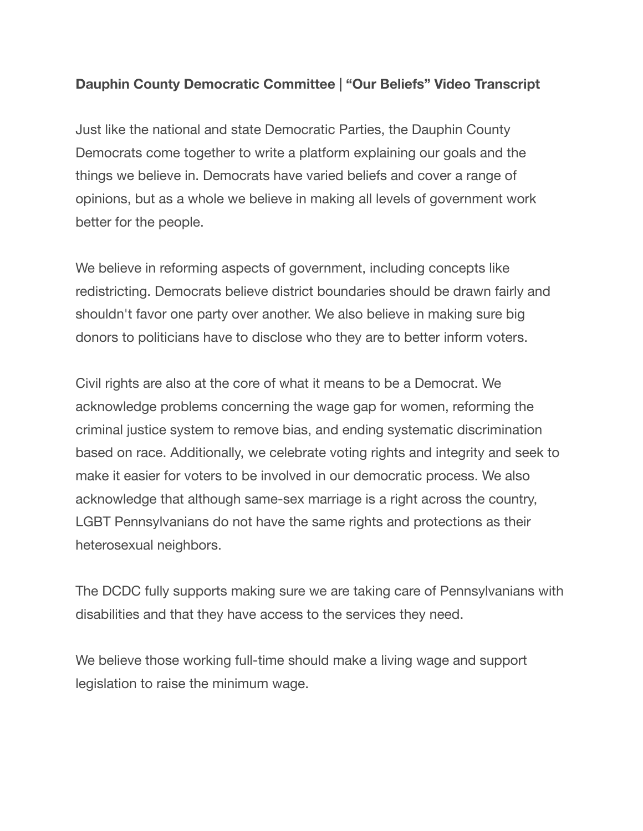## **Dauphin County Democratic Committee | "Our Beliefs" Video Transcript**

Just like the national and state Democratic Parties, the Dauphin County Democrats come together to write a platform explaining our goals and the things we believe in. Democrats have varied beliefs and cover a range of opinions, but as a whole we believe in making all levels of government work better for the people.

We believe in reforming aspects of government, including concepts like redistricting. Democrats believe district boundaries should be drawn fairly and shouldn't favor one party over another. We also believe in making sure big donors to politicians have to disclose who they are to better inform voters.

Civil rights are also at the core of what it means to be a Democrat. We acknowledge problems concerning the wage gap for women, reforming the criminal justice system to remove bias, and ending systematic discrimination based on race. Additionally, we celebrate voting rights and integrity and seek to make it easier for voters to be involved in our democratic process. We also acknowledge that although same-sex marriage is a right across the country, LGBT Pennsylvanians do not have the same rights and protections as their heterosexual neighbors.

The DCDC fully supports making sure we are taking care of Pennsylvanians with disabilities and that they have access to the services they need.

We believe those working full-time should make a living wage and support legislation to raise the minimum wage.